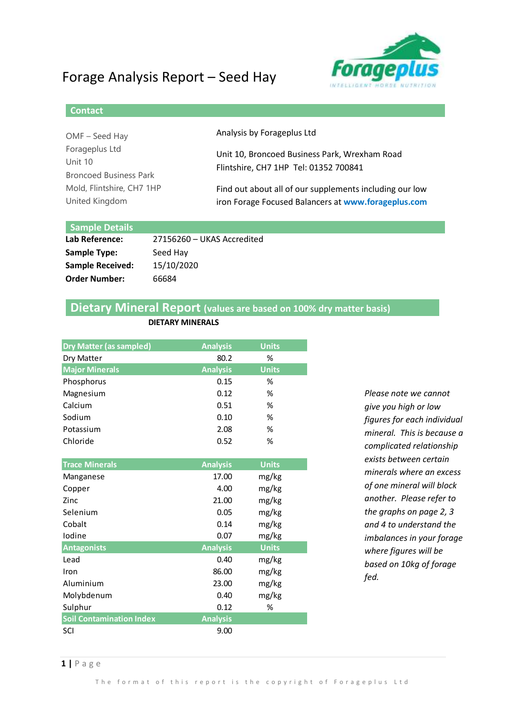

### **Contact**

| OMF - Seed Hay                |
|-------------------------------|
| Forageplus Ltd                |
| Unit 10                       |
| <b>Broncoed Business Park</b> |
| Mold, Flintshire, CH7 1HP     |
| United Kingdom                |

Analysis by Forageplus Ltd

Unit 10, Broncoed Business Park, Wrexham Road Flintshire, CH7 1HP Tel: 01352 700841

Find out about all of our supplements including our low iron Forage Focused Balancers at **www.forageplus.com**

#### **Sample Details**

| Lab Reference:          | 27156260 - UKAS Accredited |
|-------------------------|----------------------------|
| <b>Sample Type:</b>     | Seed Hay                   |
| <b>Sample Received:</b> | 15/10/2020                 |
| <b>Order Number:</b>    | 66684                      |

### **Dietary Mineral Report (values are based on 100% dry matter basis)**

| <b>Dry Matter (as sampled)</b>  | <b>Analysis</b> | <b>Units</b> |
|---------------------------------|-----------------|--------------|
| Dry Matter                      | 80.2            | %            |
| <b>Major Minerals</b>           | <b>Analysis</b> | <b>Units</b> |
| Phosphorus                      | 0.15            | %            |
| Magnesium                       | 0.12            | %            |
| Calcium                         | 0.51            | %            |
| Sodium                          | 0.10            | %            |
| Potassium                       | 2.08            | %            |
| Chloride                        | 0.52            | %            |
|                                 |                 |              |
| <b>Trace Minerals</b>           | <b>Analysis</b> | <b>Units</b> |
| Manganese                       | 17.00           | mg/kg        |
| Copper                          | 4.00            | mg/kg        |
| Zinc                            | 21.00           | mg/kg        |
| Selenium                        | 0.05            | mg/kg        |
| Cobalt                          | 0.14            | mg/kg        |
| Iodine                          | 0.07            | mg/kg        |
| <b>Antagonists</b>              | <b>Analysis</b> | <b>Units</b> |
| Lead                            | 0.40            | mg/kg        |
| Iron                            | 86.00           | mg/kg        |
| Aluminium                       | 23.00           | mg/kg        |
| Molybdenum                      | 0.40            | mg/kg        |
| Sulphur                         | 0.12            | %            |
| <b>Soil Contamination Index</b> | <b>Analysis</b> |              |
| SCI                             | 9.00            |              |
|                                 |                 |              |

**DIETARY MINERALS** 

*Please note we cannot give you high or low figures for each individual mineral. This is because a complicated relationship exists between certain minerals where an excess of one mineral will block another. Please refer to the graphs on page 2, 3 and 4 to understand the imbalances in your forage where figures will be based on 10kg of forage fed.*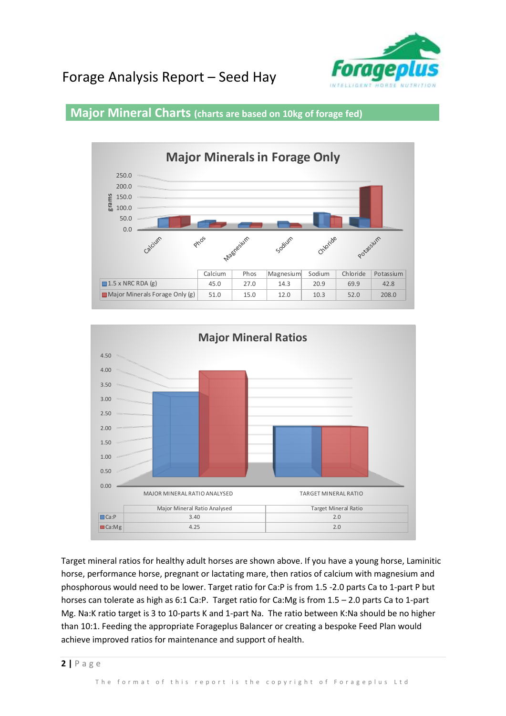

### **Major Mineral Charts (charts are based on 10kg of forage fed)**





Target mineral ratios for healthy adult horses are shown above. If you have a young horse, Laminitic horse, performance horse, pregnant or lactating mare, then ratios of calcium with magnesium and phosphorous would need to be lower. Target ratio for Ca:P is from 1.5 -2.0 parts Ca to 1-part P but horses can tolerate as high as 6:1 Ca:P. Target ratio for Ca:Mg is from 1.5 – 2.0 parts Ca to 1-part Mg. Na:K ratio target is 3 to 10-parts K and 1-part Na. The ratio between K:Na should be no higher than 10:1. Feeding the appropriate Forageplus Balancer or creating a bespoke Feed Plan would achieve improved ratios for maintenance and support of health.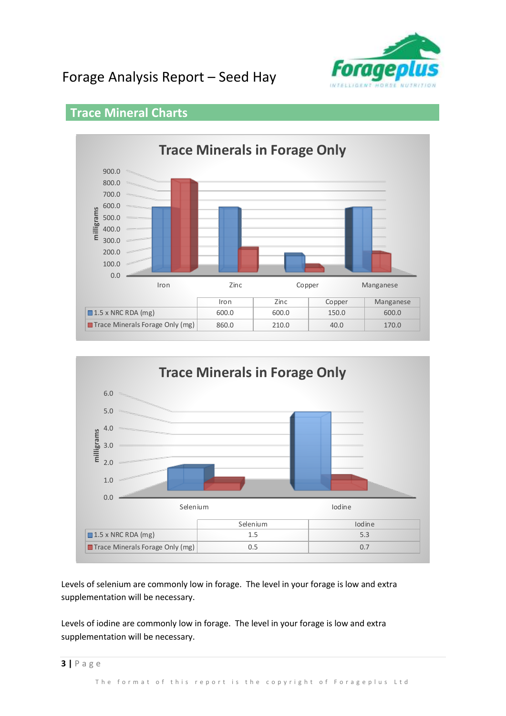

### $0.0$ 100.0 200.0 300.0 400.0 500.0 600.0 700.0 800.0 900.0 Iron Zinc Zinc Copper Manganese **milligrams** Iron | Zinc | Copper | Manganese  $\Box$  1.5 x NRC RDA (mg) 600.0 600.0 600.0 150.0 600.0 **The Minerals Forage Only (mg)** 860.0 210.0 40.0 170.0 **Trace Minerals in Forage Only**

### **Trace Mineral Charts**



Levels of selenium are commonly low in forage. The level in your forage is low and extra supplementation will be necessary.

Levels of iodine are commonly low in forage. The level in your forage is low and extra supplementation will be necessary.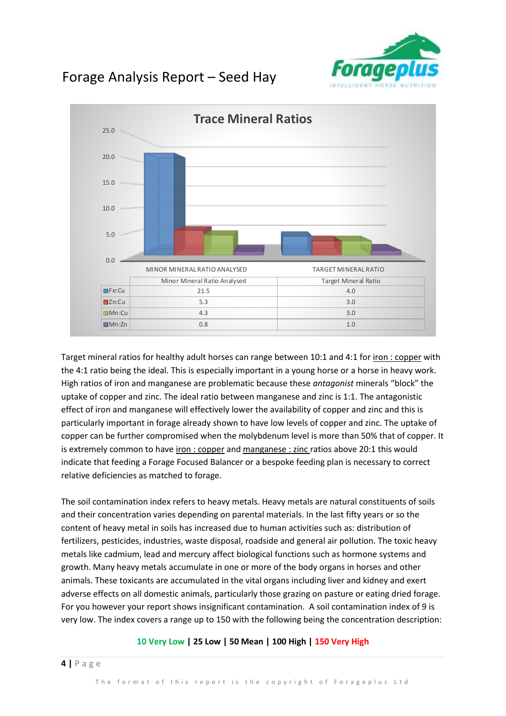



Target mineral ratios for healthy adult horses can range between 10:1 and 4:1 for iron : copper with the 4:1 ratio being the ideal. This is especially important in a young horse or a horse in heavy work. High ratios of iron and manganese are problematic because these *antagonist* minerals "block" the uptake of copper and zinc. The ideal ratio between manganese and zinc is 1:1. The antagonistic effect of iron and manganese will effectively lower the availability of copper and zinc and this is particularly important in forage already shown to have low levels of copper and zinc. The uptake of copper can be further compromised when the molybdenum level is more than 50% that of copper. It is extremely common to have iron : copper and manganese : zinc ratios above 20:1 this would indicate that feeding a Forage Focused Balancer or a bespoke feeding plan is necessary to correct relative deficiencies as matched to forage.

The soil contamination index refers to heavy metals. Heavy metals are natural constituents of soils and their concentration varies depending on parental materials. In the last fifty years or so the content of heavy metal in soils has increased due to human activities such as: distribution of fertilizers, pesticides, industries, waste disposal, roadside and general air pollution. The toxic heavy metals like cadmium, lead and mercury affect biological functions such as hormone systems and growth. Many heavy metals accumulate in one or more of the body organs in horses and other animals. These toxicants are accumulated in the vital organs including liver and kidney and exert adverse effects on all domestic animals, particularly those grazing on pasture or eating dried forage. For you however your report shows insignificant contamination. A soil contamination index of 9 is very low. The index covers a range up to 150 with the following being the concentration description:

#### **10 Very Low | 25 Low | 50 Mean | 100 High | 150 Very High**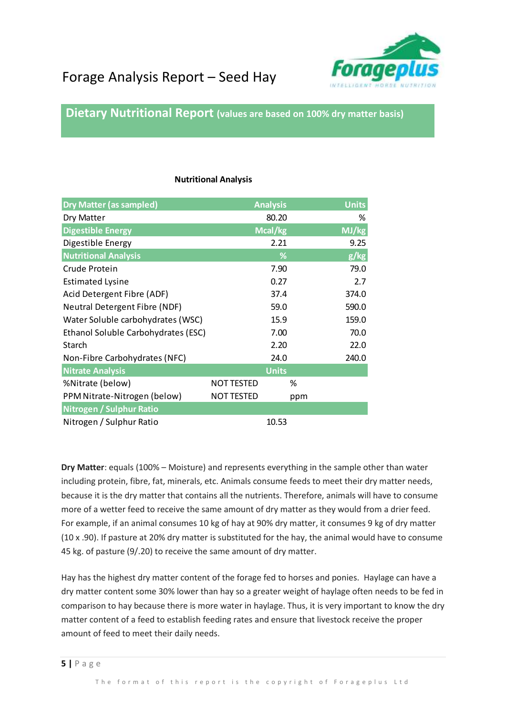

**Dietary Nutritional Report (values are based on 100% dry matter basis)**

### **Nutritional Analysis**

| <b>Dry Matter (as sampled)</b>      |                   | <b>Analysis</b> | <b>Units</b> |
|-------------------------------------|-------------------|-----------------|--------------|
| Dry Matter                          |                   | 80.20           | %            |
| <b>Digestible Energy</b>            |                   | Mcal/kg         | MJ/kg        |
| Digestible Energy                   |                   | 2.21            | 9.25         |
| <b>Nutritional Analysis</b>         |                   | ℅               | g/kg         |
| Crude Protein                       |                   | 7.90            | 79.0         |
| <b>Estimated Lysine</b>             |                   | 0.27            | 2.7          |
| Acid Detergent Fibre (ADF)          |                   | 37.4            | 374.0        |
| Neutral Detergent Fibre (NDF)       |                   | 59.0            | 590.0        |
| Water Soluble carbohydrates (WSC)   |                   | 15.9            | 159.0        |
| Ethanol Soluble Carbohydrates (ESC) |                   | 7.00            | 70.0         |
| Starch                              |                   | 2.20            | 22.0         |
| Non-Fibre Carbohydrates (NFC)       |                   | 24.0            | 240.0        |
| <b>Nitrate Analysis</b>             |                   | <b>Units</b>    |              |
| %Nitrate (below)                    | <b>NOT TESTED</b> | %               |              |
| PPM Nitrate-Nitrogen (below)        | <b>NOT TESTED</b> | ppm             |              |
| Nitrogen / Sulphur Ratio            |                   |                 |              |
| Nitrogen / Sulphur Ratio            |                   | 10.53           |              |

**Dry Matter**: equals (100% – Moisture) and represents everything in the sample other than water including protein, fibre, fat, minerals, etc. Animals consume feeds to meet their dry matter needs, because it is the dry matter that contains all the nutrients. Therefore, animals will have to consume more of a wetter feed to receive the same amount of dry matter as they would from a drier feed. For example, if an animal consumes 10 kg of hay at 90% dry matter, it consumes 9 kg of dry matter (10 x .90). If pasture at 20% dry matter is substituted for the hay, the animal would have to consume 45 kg. of pasture (9/.20) to receive the same amount of dry matter.

Hay has the highest dry matter content of the forage fed to horses and ponies. Haylage can have a dry matter content some 30% lower than hay so a greater weight of haylage often needs to be fed in comparison to hay because there is more water in haylage. Thus, it is very important to know the dry matter content of a feed to establish feeding rates and ensure that livestock receive the proper amount of feed to meet their daily needs.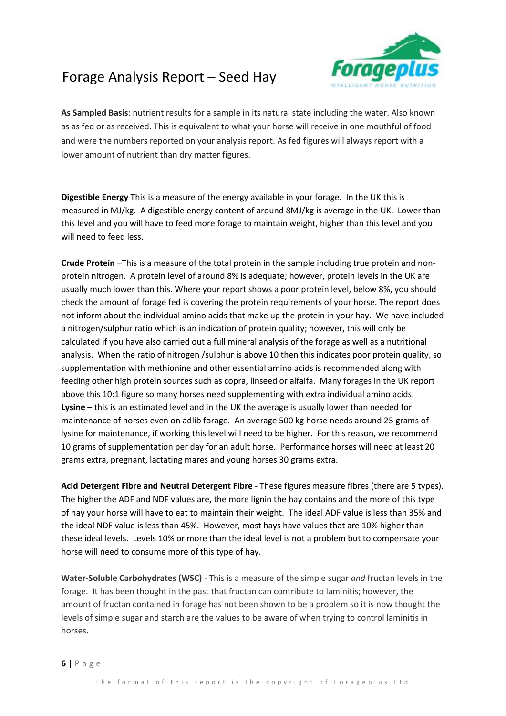

**As Sampled Basis**: nutrient results for a sample in its natural state including the water. Also known as as fed or as received. This is equivalent to what your horse will receive in one mouthful of food and were the numbers reported on your analysis report. As fed figures will always report with a lower amount of nutrient than dry matter figures.

**Digestible Energy** This is a measure of the energy available in your forage. In the UK this is measured in MJ/kg. A digestible energy content of around 8MJ/kg is average in the UK. Lower than this level and you will have to feed more forage to maintain weight, higher than this level and you will need to feed less.

**Crude Protein** –This is a measure of the total protein in the sample including true protein and nonprotein nitrogen. A protein level of around 8% is adequate; however, protein levels in the UK are usually much lower than this. Where your report shows a poor protein level, below 8%, you should check the amount of forage fed is covering the protein requirements of your horse. The report does not inform about the individual amino acids that make up the protein in your hay. We have included a nitrogen/sulphur ratio which is an indication of protein quality; however, this will only be calculated if you have also carried out a full mineral analysis of the forage as well as a nutritional analysis. When the ratio of nitrogen /sulphur is above 10 then this indicates poor protein quality, so supplementation with methionine and other essential amino acids is recommended along with feeding other high protein sources such as copra, linseed or alfalfa. Many forages in the UK report above this 10:1 figure so many horses need supplementing with extra individual amino acids. **Lysine** – this is an estimated level and in the UK the average is usually lower than needed for maintenance of horses even on adlib forage. An average 500 kg horse needs around 25 grams of lysine for maintenance, if working this level will need to be higher. For this reason, we recommend 10 grams of supplementation per day for an adult horse. Performance horses will need at least 20 grams extra, pregnant, lactating mares and young horses 30 grams extra.

**Acid Detergent Fibre and Neutral Detergent Fibre** - These figures measure fibres (there are 5 types). The higher the ADF and NDF values are, the more lignin the hay contains and the more of this type of hay your horse will have to eat to maintain their weight. The ideal ADF value is less than 35% and the ideal NDF value is less than 45%. However, most hays have values that are 10% higher than these ideal levels. Levels 10% or more than the ideal level is not a problem but to compensate your horse will need to consume more of this type of hay.

**Water-Soluble Carbohydrates (WSC)** - This is a measure of the simple sugar *and* fructan levels in the forage. It has been thought in the past that fructan can contribute to laminitis; however, the amount of fructan contained in forage has not been shown to be a problem so it is now thought the levels of simple sugar and starch are the values to be aware of when trying to control laminitis in horses.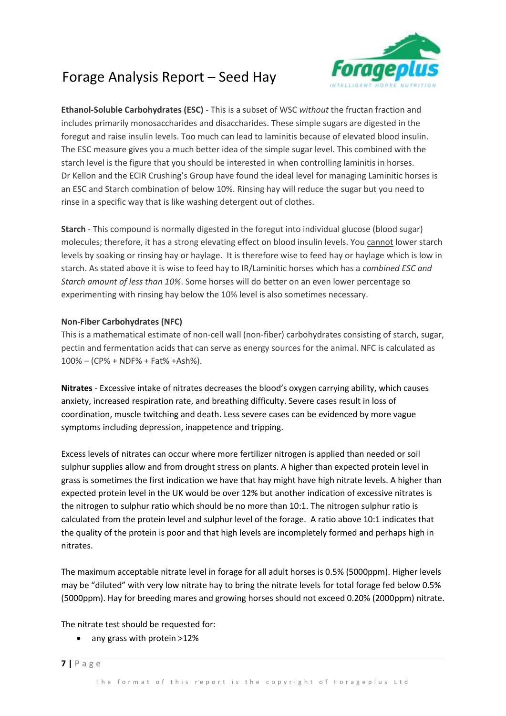

**Ethanol-Soluble Carbohydrates (ESC)** - This is a subset of WSC *without* the fructan fraction and includes primarily monosaccharides and disaccharides. These simple sugars are digested in the foregut and raise insulin levels. Too much can lead to laminitis because of elevated blood insulin. The ESC measure gives you a much better idea of the simple sugar level. This combined with the starch level is the figure that you should be interested in when controlling laminitis in horses. Dr Kellon and the ECIR Crushing's Group have found the ideal level for managing Laminitic horses is an ESC and Starch combination of below 10%. Rinsing hay will reduce the sugar but you need to rinse in a specific way that is like washing detergent out of clothes.

**Starch** - This compound is normally digested in the foregut into individual glucose (blood sugar) molecules; therefore, it has a strong elevating effect on blood insulin levels. You cannot lower starch levels by soaking or rinsing hay or haylage. It is therefore wise to feed hay or haylage which is low in starch. As stated above it is wise to feed hay to IR/Laminitic horses which has a *combined ESC and Starch amount of less than 10%*. Some horses will do better on an even lower percentage so experimenting with rinsing hay below the 10% level is also sometimes necessary.

#### **Non-Fiber Carbohydrates (NFC)**

This is a mathematical estimate of non-cell wall (non-fiber) carbohydrates consisting of starch, sugar, pectin and fermentation acids that can serve as energy sources for the animal. NFC is calculated as 100% – (CP% + NDF% + Fat% +Ash%).

**Nitrates** - Excessive intake of nitrates decreases the blood's oxygen carrying ability, which causes anxiety, increased respiration rate, and breathing difficulty. Severe cases result in loss of coordination, muscle twitching and death. Less severe cases can be evidenced by more vague symptoms including depression, inappetence and tripping.

Excess levels of nitrates can occur where more fertilizer nitrogen is applied than needed or soil sulphur supplies allow and from drought stress on plants. A higher than expected protein level in grass is sometimes the first indication we have that hay might have high nitrate levels. A higher than expected protein level in the UK would be over 12% but another indication of excessive nitrates is the nitrogen to sulphur ratio which should be no more than 10:1. The nitrogen sulphur ratio is calculated from the protein level and sulphur level of the forage. A ratio above 10:1 indicates that the quality of the protein is poor and that high levels are incompletely formed and perhaps high in nitrates.

The maximum acceptable nitrate level in forage for all adult horses is 0.5% (5000ppm). Higher levels may be "diluted" with very low nitrate hay to bring the nitrate levels for total forage fed below 0.5% (5000ppm). Hay for breeding mares and growing horses should not exceed 0.20% (2000ppm) nitrate.

The nitrate test should be requested for:

• any grass with protein >12%